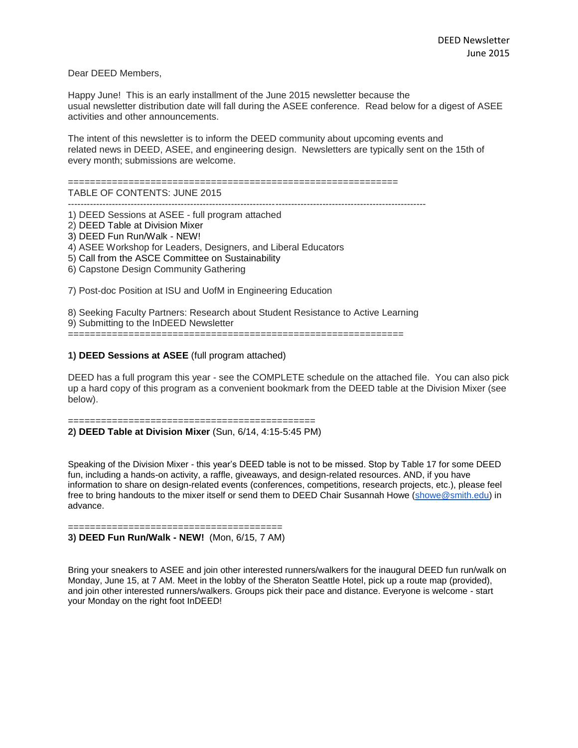Dear DEED Members,

Happy June! This is an early installment of the June 2015 newsletter because the usual newsletter distribution date will fall during the ASEE conference. Read below for a digest of ASEE activities and other announcements.

The intent of this newsletter is to inform the DEED community about upcoming events and related news in DEED, ASEE, and engineering design. Newsletters are typically sent on the 15th of every month; submissions are welcome.

============================================================

TABLE OF CONTENTS: JUNE 2015

------------------------------------------------------------------------------------------------------------------

1) DEED Sessions at ASEE - full program attached

2) DEED Table at Division Mixer

3) DEED Fun Run/Walk - NEW!

4) ASEE Workshop for Leaders, Designers, and Liberal Educators

5) Call from the ASCE Committee on Sustainability

6) Capstone Design Community Gathering

7) Post-doc Position at ISU and UofM in Engineering Education

8) Seeking Faculty Partners: Research about Student Resistance to Active Learning

9) Submitting to the InDEED Newsletter

=============================================================

## **1) DEED Sessions at ASEE** (full program attached)

DEED has a full program this year - see the COMPLETE schedule on the attached file. You can also pick up a hard copy of this program as a convenient bookmark from the DEED table at the Division Mixer (see below).

============================================= **2) DEED Table at Division Mixer** (Sun, 6/14, 4:15-5:45 PM)

Speaking of the Division Mixer - this year's DEED table is not to be missed. Stop by Table 17 for some DEED fun, including a hands-on activity, a raffle, giveaways, and design-related resources. AND, if you have information to share on design-related events (conferences, competitions, research projects, etc.), please feel free to bring handouts to the mixer itself or send them to DEED Chair Susannah Howe [\(showe@smith.edu\)](mailto:showe@smith.edu) in advance.

======================================= **3) DEED Fun Run/Walk - NEW!** (Mon, 6/15, 7 AM)

Bring your sneakers to ASEE and join other interested runners/walkers for the inaugural DEED fun run/walk on Monday, June 15, at 7 AM. Meet in the lobby of the Sheraton Seattle Hotel, pick up a route map (provided), and join other interested runners/walkers. Groups pick their pace and distance. Everyone is welcome - start your Monday on the right foot InDEED!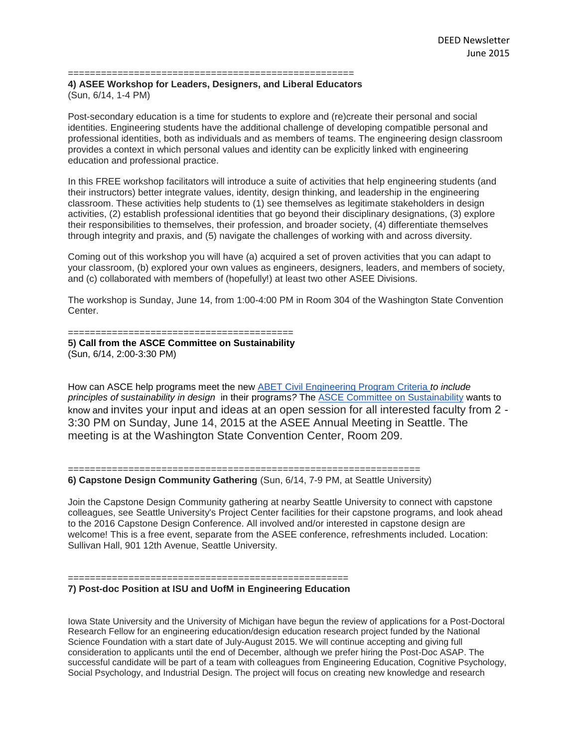====================================================

## **4) ASEE Workshop for Leaders, Designers, and Liberal Educators** (Sun, 6/14, 1-4 PM)

Post-secondary education is a time for students to explore and (re)create their personal and social identities. Engineering students have the additional challenge of developing compatible personal and professional identities, both as individuals and as members of teams. The engineering design classroom provides a context in which personal values and identity can be explicitly linked with engineering education and professional practice.

In this FREE workshop facilitators will introduce a suite of activities that help engineering students (and their instructors) better integrate values, identity, design thinking, and leadership in the engineering classroom. These activities help students to (1) see themselves as legitimate stakeholders in design activities, (2) establish professional identities that go beyond their disciplinary designations, (3) explore their responsibilities to themselves, their profession, and broader society, (4) differentiate themselves through integrity and praxis, and (5) navigate the challenges of working with and across diversity.

Coming out of this workshop you will have (a) acquired a set of proven activities that you can adapt to your classroom, (b) explored your own values as engineers, designers, leaders, and members of society, and (c) collaborated with members of (hopefully!) at least two other ASEE Divisions.

The workshop is Sunday, June 14, from 1:00-4:00 PM in Room 304 of the Washington State Convention Center.

## =========================================

**5) Call from the ASCE Committee on Sustainability** (Sun, 6/14, 2:00-3:30 PM)

How can ASCE help programs meet the new [ABET Civil Engineering Program Criteria](http://www.abet.org/eac-criteria-2015-2016/) *to include principles of sustainability in design* in their programs*?* The [ASCE Committee on Sustainability](http://www.asce.org/templates/membership-communities-committee-detail.aspx?committeeid=000009352852) wants to know and invites your input and ideas at an open session for all interested faculty from 2 - 3:30 PM on Sunday, June 14, 2015 at the ASEE Annual Meeting in Seattle. The meeting is at the Washington State Convention Center, Room 209.

================================================================ **6) Capstone Design Community Gathering** (Sun, 6/14, 7-9 PM, at Seattle University)

Join the Capstone Design Community gathering at nearby Seattle University to connect with capstone colleagues, see Seattle University's Project Center facilities for their capstone programs, and look ahead to the 2016 Capstone Design Conference. All involved and/or interested in capstone design are welcome! This is a free event, separate from the ASEE conference, refreshments included. Location: Sullivan Hall, 901 12th Avenue, Seattle University.

## **7) Post-doc Position at ISU and UofM in Engineering Education**

===================================================

Iowa State University and the University of Michigan have begun the review of applications for a Post-Doctoral Research Fellow for an engineering education/design education research project funded by the National Science Foundation with a start date of July-August 2015. We will continue accepting and giving full consideration to applicants until the end of December, although we prefer hiring the Post-Doc ASAP. The successful candidate will be part of a team with colleagues from Engineering Education, Cognitive Psychology, Social Psychology, and Industrial Design. The project will focus on creating new knowledge and research